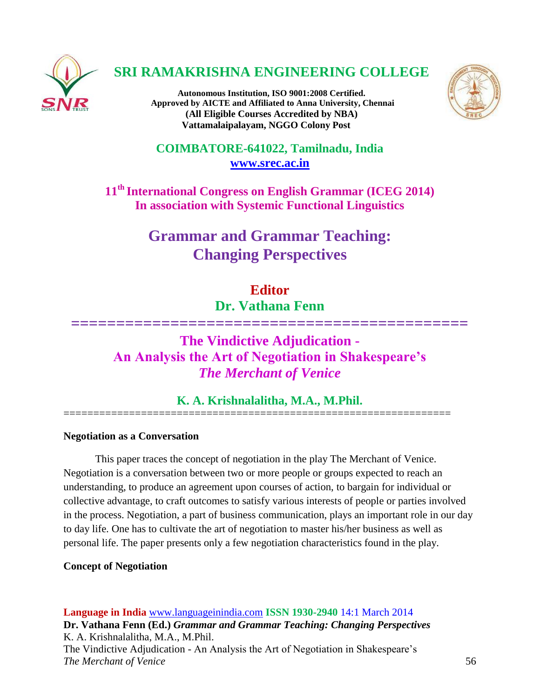

# **SRI RAMAKRISHNA ENGINEERING COLLEGE**

**Autonomous Institution, ISO 9001:2008 Certified. Approved by AICTE and Affiliated to Anna University, Chennai (All Eligible Courses Accredited by NBA) Vattamalaipalayam, NGGO Colony Post**



**COIMBATORE-641022, Tamilnadu, India [www.srec.ac.in](http://www.srec.ac.in/)**

**11th International Congress on English Grammar (ICEG 2014) In association with Systemic Functional Linguistics**

# **Grammar and Grammar Teaching: Changing Perspectives**

## **Editor**

**Dr. Vathana Fenn**

**============================================**

## **The Vindictive Adjudication - An Analysis the Art of Negotiation in Shakespeare's** *The Merchant of Venice*

**K. A. Krishnalalitha, M.A., M.Phil.**

=================================================================

## **Negotiation as a Conversation**

This paper traces the concept of negotiation in the play The Merchant of Venice. Negotiation is a conversation between two or more people or groups expected to reach an understanding, to produce an agreement upon courses of action, to bargain for individual or collective advantage, to craft outcomes to satisfy various interests of people or parties involved in the process. Negotiation, a part of business communication, plays an important role in our day to day life. One has to cultivate the art of negotiation to master his/her business as well as personal life. The paper presents only a few negotiation characteristics found in the play.

#### **Concept of Negotiation**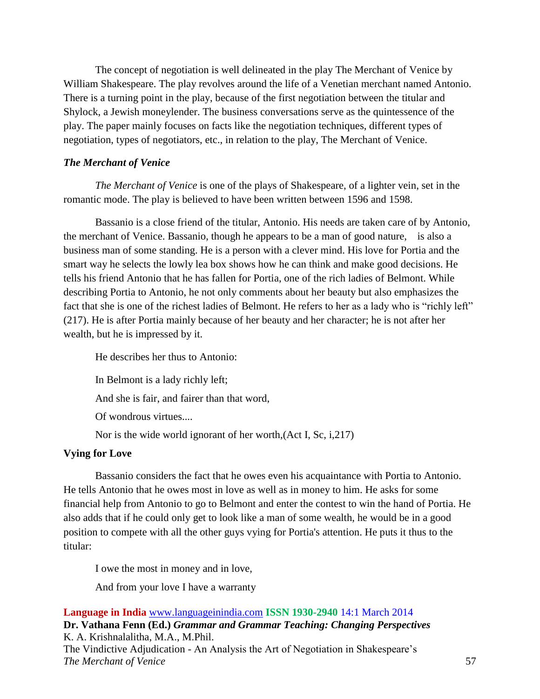The concept of negotiation is well delineated in the play The Merchant of Venice by William Shakespeare. The play revolves around the life of a Venetian merchant named Antonio. There is a turning point in the play, because of the first negotiation between the titular and Shylock, a Jewish moneylender. The business conversations serve as the quintessence of the play. The paper mainly focuses on facts like the negotiation techniques, different types of negotiation, types of negotiators, etc., in relation to the play, The Merchant of Venice.

## *The Merchant of Venice*

*The Merchant of Venice* is one of the plays of Shakespeare, of a lighter vein, set in the romantic mode. The play is believed to have been written between 1596 and 1598.

Bassanio is a close friend of the titular, Antonio. His needs are taken care of by Antonio, the merchant of Venice. Bassanio, though he appears to be a man of good nature, is also a business man of some standing. He is a person with a clever mind. His love for Portia and the smart way he selects the lowly lea box shows how he can think and make good decisions. He tells his friend Antonio that he has fallen for Portia, one of the rich ladies of Belmont. While describing Portia to Antonio, he not only comments about her beauty but also emphasizes the fact that she is one of the richest ladies of Belmont. He refers to her as a lady who is "richly left" (217). He is after Portia mainly because of her beauty and her character; he is not after her wealth, but he is impressed by it.

He describes her thus to Antonio: In Belmont is a lady richly left; And she is fair, and fairer than that word, Of wondrous virtues.... Nor is the wide world ignorant of her worth,(Act I, Sc, i,217)

## **Vying for Love**

Bassanio considers the fact that he owes even his acquaintance with Portia to Antonio. He tells Antonio that he owes most in love as well as in money to him. He asks for some financial help from Antonio to go to Belmont and enter the contest to win the hand of Portia. He also adds that if he could only get to look like a man of some wealth, he would be in a good position to compete with all the other guys vying for Portia's attention. He puts it thus to the titular:

I owe the most in money and in love,

And from your love I have a warranty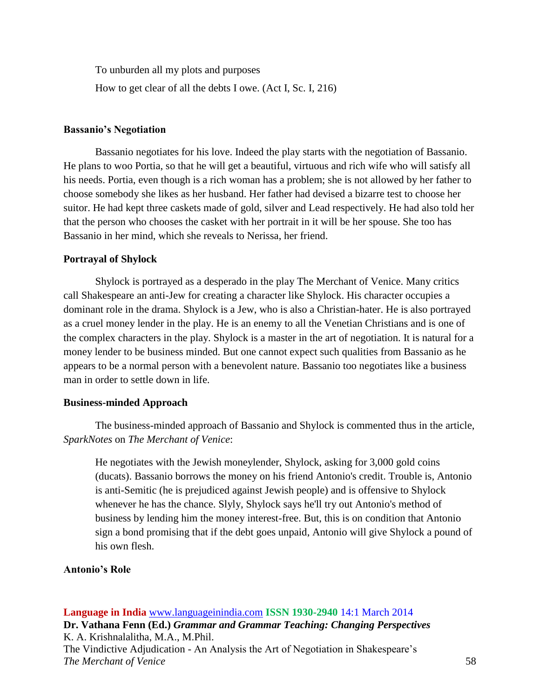To unburden all my plots and purposes

How to get clear of all the debts I owe. (Act I, Sc. I, 216)

#### **Bassanio's Negotiation**

Bassanio negotiates for his love. Indeed the play starts with the negotiation of Bassanio. He plans to woo Portia, so that he will get a beautiful, virtuous and rich wife who will satisfy all his needs. Portia, even though is a rich woman has a problem; she is not allowed by her father to choose somebody she likes as her husband. Her father had devised a bizarre test to choose her suitor. He had kept three caskets made of gold, silver and Lead respectively. He had also told her that the person who chooses the casket with her portrait in it will be her spouse. She too has Bassanio in her mind, which she reveals to Nerissa, her friend.

#### **Portrayal of Shylock**

Shylock is portrayed as a desperado in the play The Merchant of Venice. Many critics call Shakespeare an anti-Jew for creating a character like Shylock. His character occupies a dominant role in the drama. Shylock is a Jew, who is also a Christian-hater. He is also portrayed as a cruel money lender in the play. He is an enemy to all the Venetian Christians and is one of the complex characters in the play. Shylock is a master in the art of negotiation. It is natural for a money lender to be business minded. But one cannot expect such qualities from Bassanio as he appears to be a normal person with a benevolent nature. Bassanio too negotiates like a business man in order to settle down in life.

#### **Business-minded Approach**

The business-minded approach of Bassanio and Shylock is commented thus in the article, *SparkNotes* on *The Merchant of Venice*:

He negotiates with the Jewish moneylender, Shylock, asking for 3,000 gold coins (ducats). Bassanio borrows the money on his friend Antonio's credit. Trouble is, Antonio is anti-Semitic (he is prejudiced against Jewish people) and is offensive to Shylock whenever he has the chance. Slyly, Shylock says he'll try out Antonio's method of business by lending him the money interest-free. But, this is on condition that Antonio sign a bond promising that if the debt goes unpaid, Antonio will give Shylock a pound of his own flesh.

#### **Antonio's Role**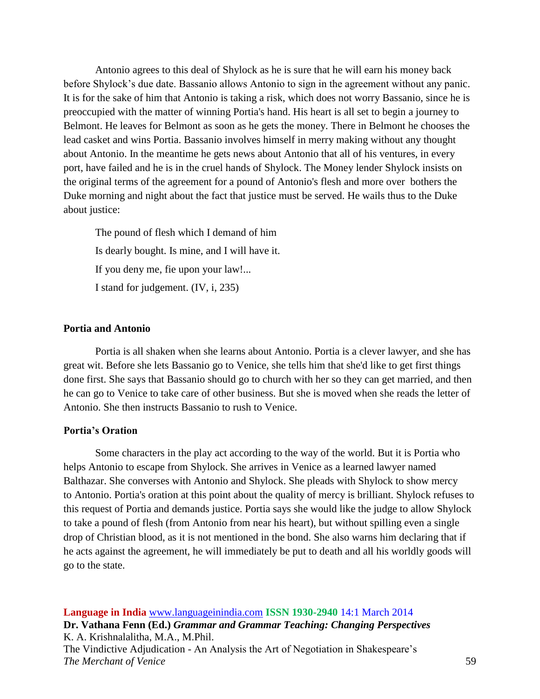Antonio agrees to this deal of Shylock as he is sure that he will earn his money back before Shylock's due date. Bassanio allows Antonio to sign in the agreement without any panic. It is for the sake of him that Antonio is taking a risk, which does not worry Bassanio, since he is preoccupied with the matter of winning Portia's hand. His heart is all set to begin a journey to Belmont. He leaves for Belmont as soon as he gets the money. There in Belmont he chooses the lead casket and wins Portia. Bassanio involves himself in merry making without any thought about Antonio. In the meantime he gets news about Antonio that all of his ventures, in every port, have failed and he is in the cruel hands of Shylock. The Money lender Shylock insists on the original terms of the agreement for a pound of Antonio's flesh and more over bothers the Duke morning and night about the fact that justice must be served. He wails thus to the Duke about justice:

The pound of flesh which I demand of him Is dearly bought. Is mine, and I will have it. If you deny me, fie upon your law!... I stand for judgement. (IV, i, 235)

#### **Portia and Antonio**

Portia is all shaken when she learns about Antonio. Portia is a clever lawyer, and she has great wit. Before she lets Bassanio go to Venice, she tells him that she'd like to get first things done first. She says that Bassanio should go to church with her so they can get married, and then he can go to Venice to take care of other business. But she is moved when she reads the letter of Antonio. She then instructs Bassanio to rush to Venice.

#### **Portia's Oration**

Some characters in the play act according to the way of the world. But it is Portia who helps Antonio to escape from Shylock. She arrives in Venice as a learned lawyer named Balthazar. She converses with Antonio and Shylock. She pleads with Shylock to show mercy to Antonio. Portia's oration at this point about the quality of mercy is brilliant. Shylock refuses to this request of Portia and demands justice. Portia says she would like the judge to allow Shylock to take a pound of flesh (from Antonio from near his heart), but without spilling even a single drop of Christian blood, as it is not mentioned in the bond. She also warns him declaring that if he acts against the agreement, he will immediately be put to death and all his worldly goods will go to the state.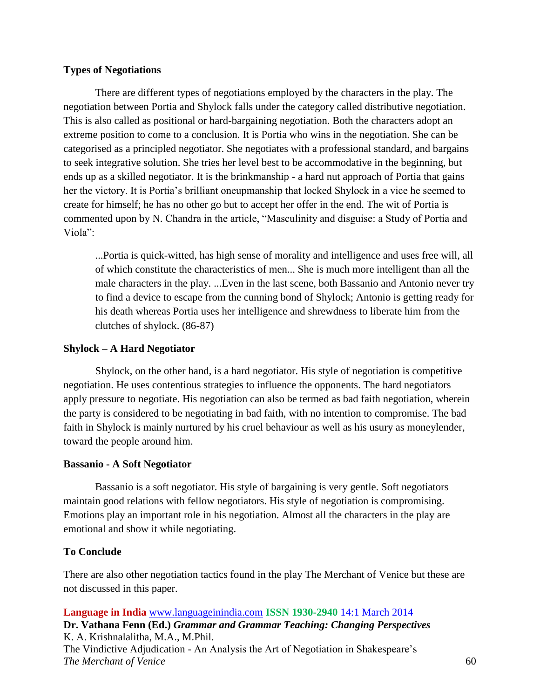### **Types of Negotiations**

There are different types of negotiations employed by the characters in the play. The negotiation between Portia and Shylock falls under the category called distributive negotiation. This is also called as positional or hard-bargaining negotiation. Both the characters adopt an extreme position to come to a conclusion. It is Portia who wins in the negotiation. She can be categorised as a principled negotiator. She negotiates with a professional standard, and bargains to seek integrative solution. She tries her level best to be accommodative in the beginning, but ends up as a skilled negotiator. It is the brinkmanship - a hard nut approach of Portia that gains her the victory. It is Portia's brilliant oneupmanship that locked Shylock in a vice he seemed to create for himself; he has no other go but to accept her offer in the end. The wit of Portia is commented upon by N. Chandra in the article, "Masculinity and disguise: a Study of Portia and Viola":

...Portia is quick-witted, has high sense of morality and intelligence and uses free will, all of which constitute the characteristics of men... She is much more intelligent than all the male characters in the play. ...Even in the last scene, both Bassanio and Antonio never try to find a device to escape from the cunning bond of Shylock; Antonio is getting ready for his death whereas Portia uses her intelligence and shrewdness to liberate him from the clutches of shylock. (86-87)

### **Shylock – A Hard Negotiator**

Shylock, on the other hand, is a hard negotiator. His style of negotiation is competitive negotiation. He uses contentious strategies to influence the opponents. The hard negotiators apply pressure to negotiate. His negotiation can also be termed as bad faith negotiation, wherein the party is considered to be negotiating in bad faith, with no intention to compromise. The bad faith in Shylock is mainly nurtured by his cruel behaviour as well as his usury as moneylender, toward the people around him.

#### **Bassanio - A Soft Negotiator**

Bassanio is a soft negotiator. His style of bargaining is very gentle. Soft negotiators maintain good relations with fellow negotiators. His style of negotiation is compromising. Emotions play an important role in his negotiation. Almost all the characters in the play are emotional and show it while negotiating.

## **To Conclude**

There are also other negotiation tactics found in the play The Merchant of Venice but these are not discussed in this paper.